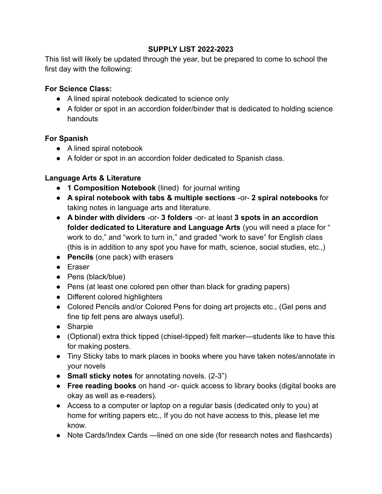## **SUPPLY LIST 2022-2023**

This list will likely be updated through the year, but be prepared to come to school the first day with the following:

## **For Science Class:**

- A lined spiral notebook dedicated to science only
- A folder or spot in an accordion folder/binder that is dedicated to holding science handouts

## **For Spanish**

- A lined spiral notebook
- A folder or spot in an accordion folder dedicated to Spanish class.

## **Language Arts & Literature**

- **1 Composition Notebook** (lined) for journal writing
- **A spiral notebook with tabs & multiple sections** -or- **2 spiral notebooks** for taking notes in language arts and literature.
- **A binder with dividers** -or- **3 folders** -or- at least **3 spots in an accordion folder dedicated to Literature and Language Arts** (you will need a place for " work to do," and "work to turn in," and graded "work to save" for English class (this is in addition to any spot you have for math, science, social studies, etc.,)
- **Pencils** (one pack) with erasers
- Eraser
- Pens (black/blue)
- Pens (at least one colored pen other than black for grading papers)
- Different colored highlighters
- Colored Pencils and/or Colored Pens for doing art projects etc., (Gel pens and fine tip felt pens are always useful).
- Sharpie
- (Optional) extra thick tipped (chisel-tipped) felt marker—students like to have this for making posters.
- Tiny Sticky tabs to mark places in books where you have taken notes/annotate in your novels
- **Small sticky notes** for annotating novels. (2-3")
- **Free reading books** on hand -or- quick access to library books (digital books are okay as well as e-readers).
- Access to a computer or laptop on a regular basis (dedicated only to you) at home for writing papers etc., If you do not have access to this, please let me know.
- Note Cards/Index Cards —lined on one side (for research notes and flashcards)